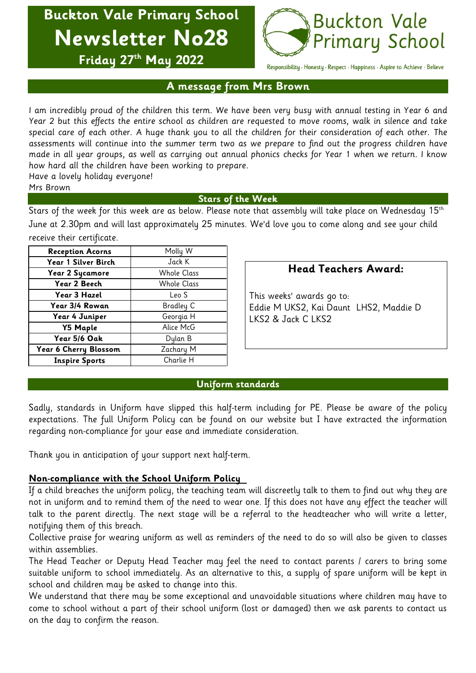**Buckton Vale Primary School Newsletter No28**



**Friday 27 th May 2022**

Responsibility · Honesty · Respect · Happiness · Aspire to Achieve · Believe

## **A message from Mrs Brown**

I am incredibly proud of the children this term. We have been very busy with annual testing in Year 6 and Year 2 but this effects the entire school as children are requested to move rooms, walk in silence and take special care of each other. A huge thank you to all the children for their consideration of each other. The assessments will continue into the summer term two as we prepare to find out the progress children have made in all year groups, as well as carrying out annual phonics checks for Year 1 when we return. I know how hard all the children have been working to prepare.

Have a lovely holiday everyone!

## Mrs Brown

## **Stars of the Week**

Stars of the week for this week are as below. Please note that assembly will take place on Wednesday 15th June at 2.30pm and will last approximately 25 minutes. We'd love you to come along and see your child receive their certificate.

| <b>Reception Acorns</b> | Molly W            |
|-------------------------|--------------------|
| Year 1 Silver Birch     | Jack K             |
| Year 2 Sycamore         | <b>Whole Class</b> |
| Year 2 Beech            | <b>Whole Class</b> |
| Year 3 Hazel            | Leo S              |
| Year 3/4 Rowan          | Bradley C          |
| Year 4 Juniper          | Georgia H          |
| <b>Y5 Maple</b>         | Alice McG          |
| Year 5/6 Oak            | Dylan B            |
| Year 6 Cherry Blossom   | Zachary M          |
| <b>Inspire Sports</b>   | Charlie H          |

# **Head Teachers Award:**

This weeks' awards go to: Eddie M UKS2, Kai Daunt LHS2, Maddie D LKS2 & Jack C LKS2

## **Uniform standards**

Sadly, standards in Uniform have slipped this half-term including for PE. Please be aware of the policy expectations. The full Uniform Policy can be found on our website but I have extracted the information regarding non-compliance for your ease and immediate consideration.

Thank you in anticipation of your support next half-term.

# **Non-compliance with the School Uniform Policy**

If a child breaches the uniform policy, the teaching team will discreetly talk to them to find out why they are not in uniform and to remind them of the need to wear one. If this does not have any effect the teacher will talk to the parent directly. The next stage will be a referral to the headteacher who will write a letter, notifying them of this breach.

Collective praise for wearing uniform as well as reminders of the need to do so will also be given to classes within assemblies.

The Head Teacher or Deputy Head Teacher may feel the need to contact parents / carers to bring some suitable uniform to school immediately. As an alternative to this, a supply of spare uniform will be kept in school and children may be asked to change into this.

We understand that there may be some exceptional and unavoidable situations where children may have to come to school without a part of their school uniform (lost or damaged) then we ask parents to contact us on the day to confirm the reason.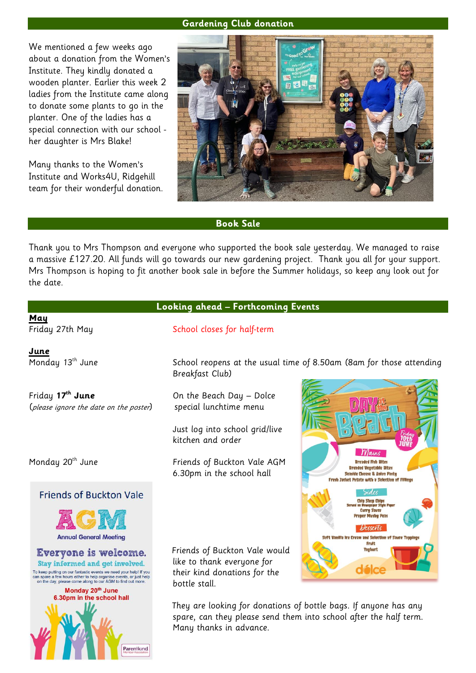#### **Gardening Club donation**

We mentioned a few weeks ago about a donation from the Women's Institute. They kindly donated a wooden planter. Earlier this week 2 ladies from the Institute came along to donate some plants to go in the planter. One of the ladies has a special connection with our school her daughter is Mrs Blake!

Many thanks to the Women's Institute and Works4U, Ridgehill team for their wonderful donation.



#### **Book Sale**

Thank you to Mrs Thompson and everyone who supported the book sale yesterday. We managed to raise a massive £127.20. All funds will go towards our new gardening project. Thank you all for your support. Mrs Thompson is hoping to fit another book sale in before the Summer holidays, so keep any look out for the date.

#### **Looking ahead – Forthcoming Events**

**May**

**June**

Friday **17th June** On the Beach Day – Dolce (please ignore the date on the poster) special lunchtime menu

**Friends of Buckton Vale** 



Everyone is welcome. Stay informed and get involved.





Friday 27th May School closes for half-term

Monday 13<sup>th</sup> June School reopens at the usual time of 8.50am (8am for those attending Breakfast Club)

Just log into school grid/live kitchen and order

Monday 20<sup>th</sup> June **Friends of Buckton Vale AGM** 6.30pm in the school hall

> Friends of Buckton Vale would like to thank everyone for their kind donations for the bottle stall.

 They are looking for donations of bottle bags. If anyone has any spare, can they please send them into school after the half term. Many thanks in advance.